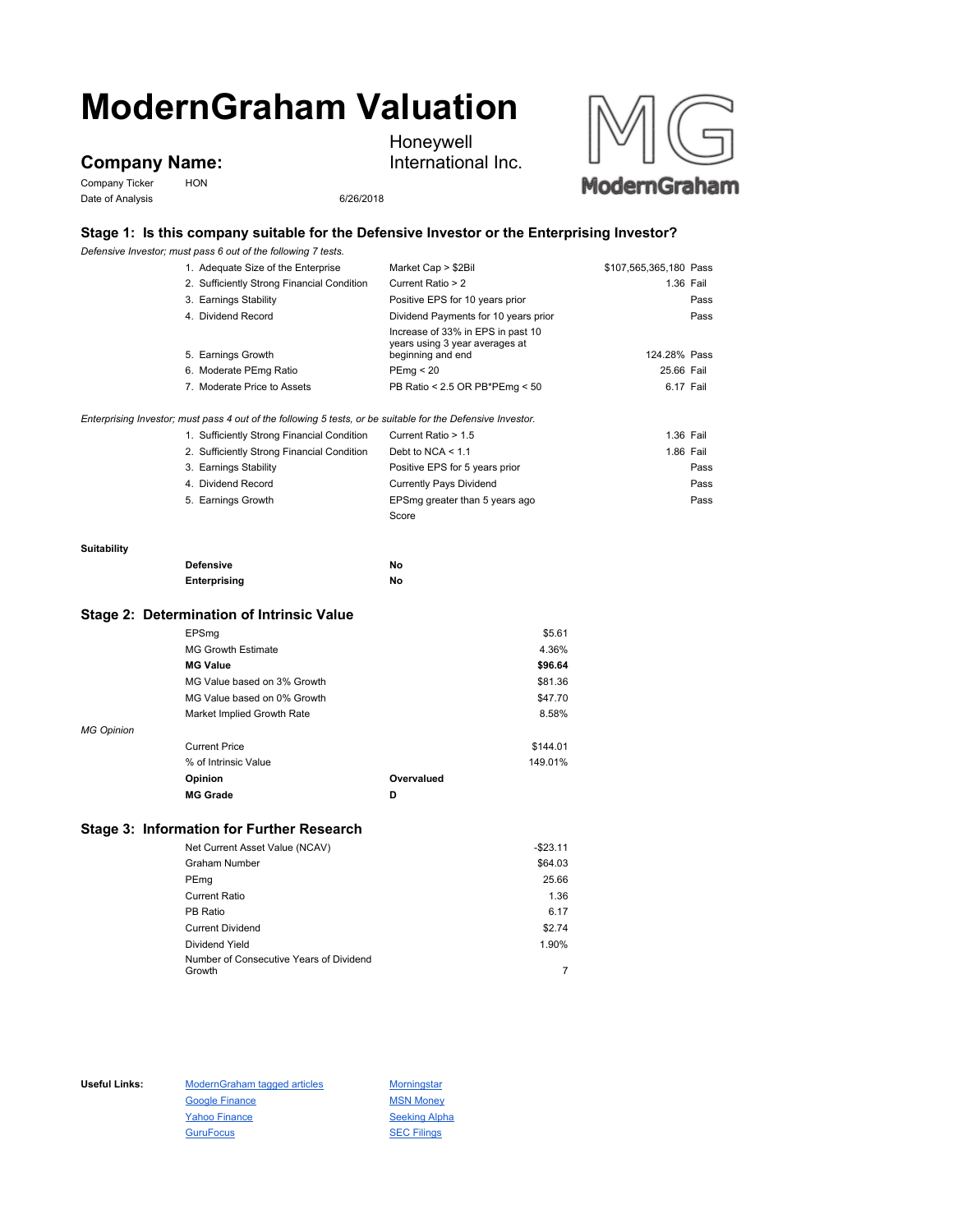# **ModernGraham Valuation**

## **Company Name:**

Company Ticker HON Date of Analysis 6/26/2018

Honeywell International Inc.



### **Stage 1: Is this company suitable for the Defensive Investor or the Enterprising Investor?**

*Defensive Investor; must pass 6 out of the following 7 tests.*

|                                           | 1. Adequate Size of the Enterprise                                                                          | Market Cap > \$2Bil                                                                      | \$107,565,365,180 Pass |      |
|-------------------------------------------|-------------------------------------------------------------------------------------------------------------|------------------------------------------------------------------------------------------|------------------------|------|
|                                           | 2. Sufficiently Strong Financial Condition                                                                  | Current Ratio > 2                                                                        | 1.36 Fail              |      |
|                                           | 3. Earnings Stability                                                                                       | Positive EPS for 10 years prior                                                          |                        | Pass |
|                                           | 4. Dividend Record                                                                                          | Dividend Payments for 10 years prior                                                     |                        | Pass |
|                                           | 5. Earnings Growth                                                                                          | Increase of 33% in EPS in past 10<br>years using 3 year averages at<br>beginning and end | 124.28% Pass           |      |
|                                           | 6. Moderate PEmg Ratio                                                                                      | PEmq < 20                                                                                | 25.66 Fail             |      |
|                                           | 7. Moderate Price to Assets                                                                                 | PB Ratio < 2.5 OR PB*PEmg < 50                                                           | 6.17 Fail              |      |
|                                           |                                                                                                             |                                                                                          |                        |      |
|                                           | Enterprising Investor; must pass 4 out of the following 5 tests, or be suitable for the Defensive Investor. |                                                                                          |                        |      |
|                                           | 1. Sufficiently Strong Financial Condition                                                                  | Current Ratio > 1.5                                                                      | 1.36 Fail              |      |
|                                           | 2. Sufficiently Strong Financial Condition                                                                  | Debt to NCA $<$ 1.1                                                                      | 1.86 Fail              |      |
|                                           | 3. Earnings Stability                                                                                       | Positive EPS for 5 years prior                                                           |                        | Pass |
|                                           | 4. Dividend Record                                                                                          | <b>Currently Pays Dividend</b>                                                           |                        | Pass |
|                                           | 5. Earnings Growth                                                                                          | EPSmg greater than 5 years ago                                                           |                        | Pass |
|                                           |                                                                                                             | Score                                                                                    |                        |      |
| Suitability                               |                                                                                                             |                                                                                          |                        |      |
|                                           | <b>Defensive</b>                                                                                            | No                                                                                       |                        |      |
|                                           | Enterprising                                                                                                | No                                                                                       |                        |      |
| Stage 2: Determination of Intrinsic Value |                                                                                                             |                                                                                          |                        |      |
|                                           | EPSmg                                                                                                       |                                                                                          | \$5.61                 |      |

|                   | <b>MG Growth Estimate</b>   |            | 4.36%    |
|-------------------|-----------------------------|------------|----------|
|                   | <b>MG Value</b>             |            | \$96.64  |
|                   | MG Value based on 3% Growth |            | \$81.36  |
|                   | MG Value based on 0% Growth |            | \$47.70  |
|                   | Market Implied Growth Rate  |            | 8.58%    |
| <b>MG Opinion</b> |                             |            |          |
|                   | <b>Current Price</b>        |            | \$144.01 |
|                   | % of Intrinsic Value        |            | 149.01%  |
|                   | Opinion                     | Overvalued |          |
|                   | <b>MG Grade</b>             | D          |          |

#### **Stage 3: Information for Further Research**

| Net Current Asset Value (NCAV)                    | $-$23.11$ |
|---------------------------------------------------|-----------|
| Graham Number                                     | \$64.03   |
| PEmg                                              | 25.66     |
| Current Ratio                                     | 1.36      |
| PB Ratio                                          | 6.17      |
| <b>Current Dividend</b>                           | \$2.74    |
| Dividend Yield                                    | 1.90%     |
| Number of Consecutive Years of Dividend<br>Growth |           |
|                                                   |           |

Useful Links: ModernGraham tagged articles Morningstar Google Finance MSN Money Yahoo Finance Seeking Alpha GuruFocus **SEC Filings**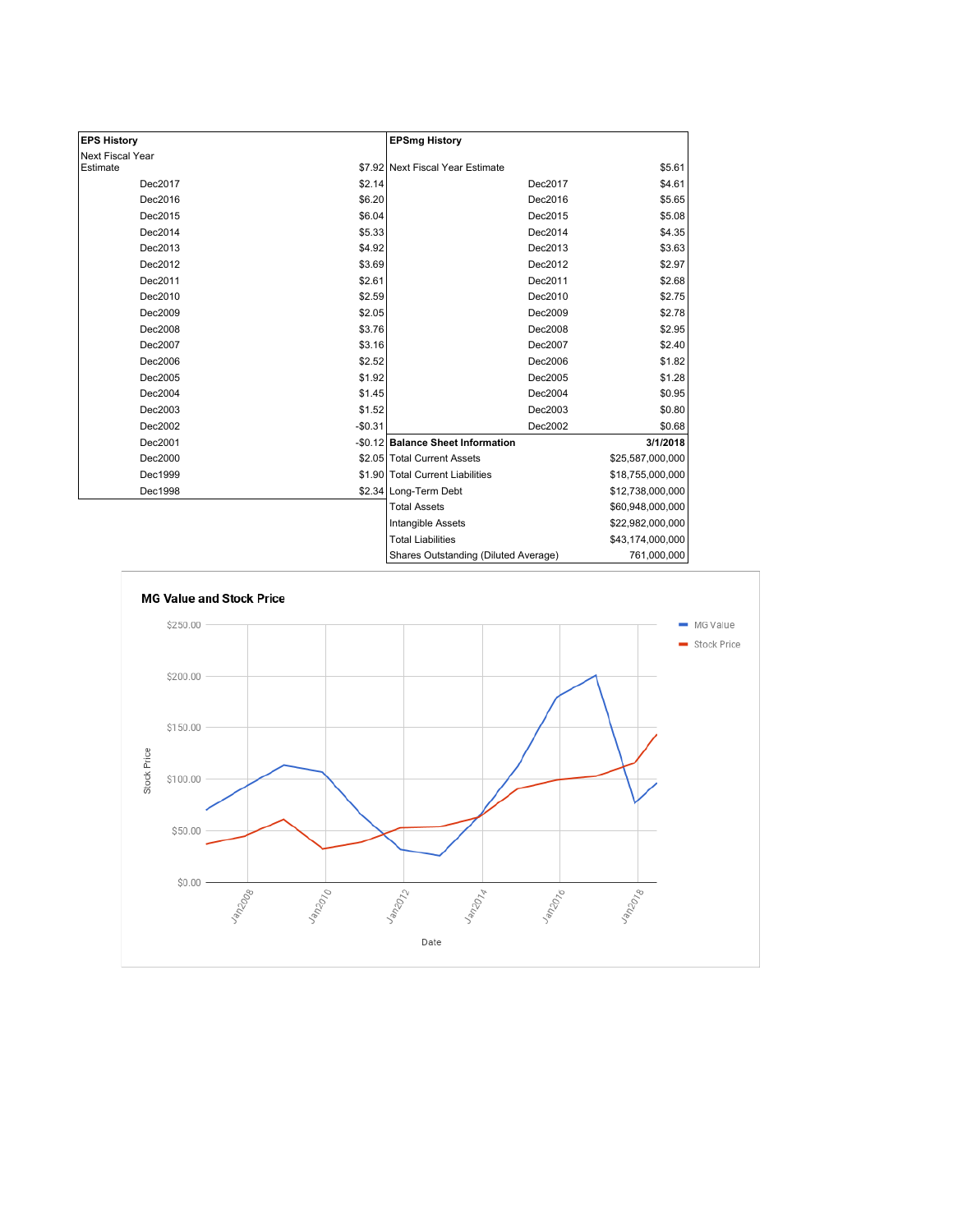| <b>EPS History</b> |          | <b>EPSmg History</b>                 |                  |
|--------------------|----------|--------------------------------------|------------------|
| Next Fiscal Year   |          |                                      |                  |
| Estimate           |          | \$7.92 Next Fiscal Year Estimate     | \$5.61           |
| Dec2017            | \$2.14   | Dec2017                              | \$4.61           |
| Dec2016            | \$6.20   | Dec2016                              | \$5.65           |
| Dec2015            | \$6.04   | Dec2015                              | \$5.08           |
| Dec2014            | \$5.33   | Dec2014                              | \$4.35           |
| Dec2013            | \$4.92   | Dec2013                              | \$3.63           |
| Dec2012            | \$3.69   | Dec2012                              | \$2.97           |
| Dec2011            | \$2.61   | Dec2011                              | \$2.68           |
| Dec2010            | \$2.59   | Dec2010                              | \$2.75           |
| Dec2009            | \$2.05   | Dec2009                              | \$2.78           |
| Dec2008            | \$3.76   | Dec2008                              | \$2.95           |
| Dec2007            | \$3.16   | Dec2007                              | \$2.40           |
| Dec2006            | \$2.52   | Dec2006                              | \$1.82           |
| Dec2005            | \$1.92   | Dec2005                              | \$1.28           |
| Dec2004            | \$1.45   | Dec2004                              | \$0.95           |
| Dec2003            | \$1.52   | Dec2003                              | \$0.80           |
| Dec2002            | $-$0.31$ | Dec2002                              | \$0.68           |
| Dec2001            |          | -\$0.12 Balance Sheet Information    | 3/1/2018         |
| Dec2000            |          | \$2.05 Total Current Assets          | \$25,587,000,000 |
| Dec1999            |          | \$1.90 Total Current Liabilities     | \$18,755,000,000 |
| Dec1998            |          | \$2.34 Long-Term Debt                | \$12,738,000,000 |
|                    |          | <b>Total Assets</b>                  | \$60,948,000,000 |
|                    |          | Intangible Assets                    | \$22,982,000,000 |
|                    |          | <b>Total Liabilities</b>             | \$43,174,000,000 |
|                    |          | Shares Outstanding (Diluted Average) | 761,000,000      |